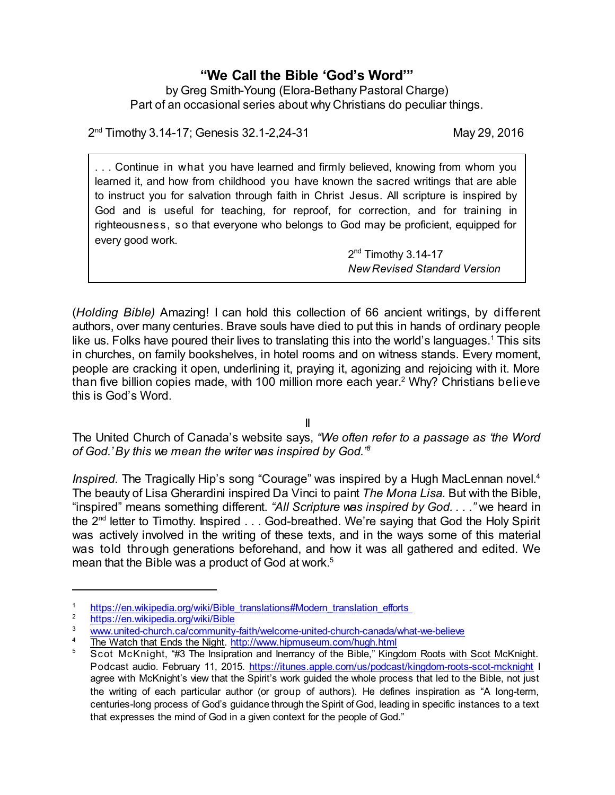## **"We Call the Bible 'God's Word'"**

by Greg Smith-Young (Elora-Bethany Pastoral Charge) Part of an occasional series about why Christians do peculiar things.

2 nd Timothy 3.14-17; Genesis 32.1-2,24-31 May 29, 2016

. . . Continue in what you have learned and firmly believed, knowing from whom you learned it, and how from childhood you have known the sacred writings that are able to instruct you for salvation through faith in Christ Jesus. All scripture is inspired by God and is useful for teaching, for reproof, for correction, and for training in righteousness, so that everyone who belongs to God may be proficient, equipped for every good work.

> 2<sup>nd</sup> Timothy 3.14-17 *New Revised Standard Version*

(*Holding Bible)* Amazing! I can hold this collection of 66 ancient writings, by different authors, over many centuries. Brave souls have died to put this in hands of ordinary people like us. Folks have poured their lives to translating this into the world's languages.<sup>1</sup> This sits in churches, on family bookshelves, in hotel rooms and on witness stands. Every moment, people are cracking it open, underlining it, praying it, agonizing and rejoicing with it. More than five billion copies made, with 100 million more each year. <sup>2</sup> Why? Christians believe this is God's Word.

II

The United Church of Canada's website says, *"We often refer to a passage as 'the Word of God.'By this we mean the writer was inspired by God." 3*

*Inspired.* The Tragically Hip's song "Courage" was inspired by a Hugh MacLennan novel. 4 The beauty of Lisa Gherardini inspired Da Vinci to paint *The Mona Lisa.* But with the Bible, "inspired" means something different. *"All Scripture was inspired by God. . . ."* we heard in the 2<sup>nd</sup> letter to Timothy. Inspired . . . God-breathed. We're saying that God the Holy Spirit was actively involved in the writing of these texts, and in the ways some of this material was told through generations beforehand, and how it was all gathered and edited. We mean that the Bible was a product of God at work.<sup>5</sup>

<sup>1</sup> [https://en.wikipedia.org/wiki/Bible\\_translations#Modern\\_translation\\_efforts](https://en.wikipedia.org/wiki/Bible_translations#Modern_translation_efforts%20)\_<br>2 https://en.wikipedia.org/wiki/Bible\_

<sup>2</sup> <https://en.wikipedia.org/wiki/Bible>

[www.united-church.ca/community-faith/welcome-united-church-canada/what-we-believe](http://www.united-church.ca/community-faith/welcome-united-church-canada/what-we-believe)

 $\frac{4}{5}$  The Watch that Ends the Night. <http://www.hipmuseum.com/hugh.html><br>Soot McKnight "#3 The Insignation and Inerrancy of the Bible" Kingg

<sup>5</sup> Scot McKnight, "#3 The Insipration and Inerrancy of the Bible," Kingdom Roots with Scot McKnight. Podcast audio. February 11, 2015. <https://itunes.apple.com/us/podcast/kingdom-roots-scot-mcknight> I agree with McKnight's view that the Spirit's work guided the whole process that led to the Bible, not just the writing of each particular author (or group of authors). He defines inspiration as "A long-term, centuries-long process of God's guidance through the Spirit of God, leading in specific instances to a text that expresses the mind of God in a given context for the people of God."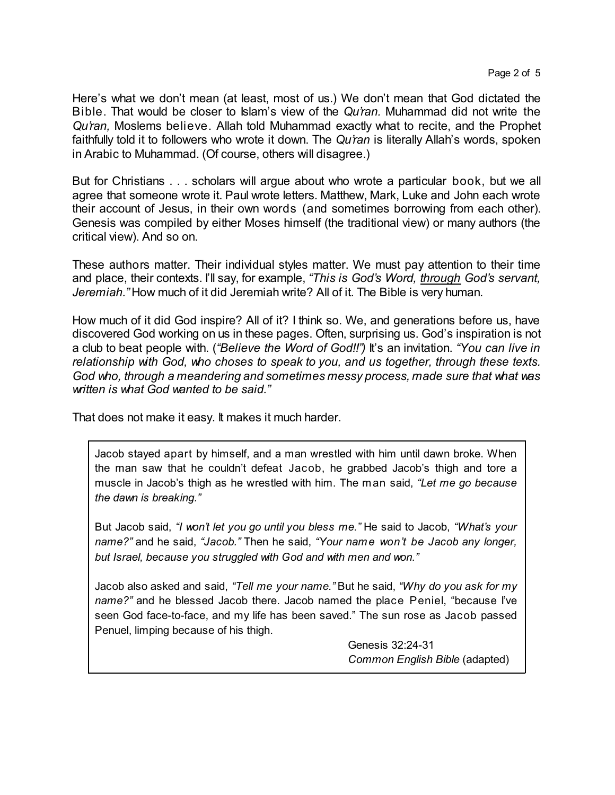Here's what we don't mean (at least, most of us.) We don't mean that God dictated the Bible. That would be closer to Islam's view of the *Qu'ran.* Muhammad did not write the *Qu'ran,* Moslems believe. Allah told Muhammad exactly what to recite, and the Prophet faithfully told it to followers who wrote it down. The *Qu'ran* is literally Allah's words, spoken in Arabic to Muhammad. (Of course, others will disagree.)

But for Christians . . . scholars will argue about who wrote a particular book, but we all agree that someone wrote it. Paul wrote letters. Matthew, Mark, Luke and John each wrote their account of Jesus, in their own words (and sometimes borrowing from each other). Genesis was compiled by either Moses himself (the traditional view) or many authors (the critical view). And so on.

These authors matter. Their individual styles matter. We must pay attention to their time and place, their contexts. I'll say, for example, *"This is God's Word, through God's servant, Jeremiah."* How much of it did Jeremiah write? All of it. The Bible is very human.

How much of it did God inspire? All of it? I think so. We, and generations before us, have discovered God working on us in these pages. Often, surprising us. God's inspiration is not a club to beat people with. (*"Believe the Word of God!!")* It's an invitation. *"You can live in relationship with God, who choses to speak to you, and us together, through these texts. God who, through a meandering and sometimes messy process, made sure that what was written is what God wanted to be said."*

That does not make it easy. It makes it much harder.

Jacob stayed apart by himself, and a man wrestled with him until dawn broke. When the man saw that he couldn't defeat Jacob, he grabbed Jacob's thigh and tore a muscle in Jacob's thigh as he wrestled with him. The man said, *"Let me go because the dawn is breaking."*

But Jacob said, *"I won't let you go until you bless me."* He said to Jacob, *"What's your name?"* and he said, *"Jacob."* Then he said, *"Your name won't be Jacob any longer, but Israel, because you struggled with God and with men and won."*

Jacob also asked and said, *"Tell me your name."* But he said, *"Why do you ask for my name?"* and he blessed Jacob there. Jacob named the place Peniel, "because I've seen God face-to-face, and my life has been saved." The sun rose as Jacob passed Penuel, limping because of his thigh.

> Genesis 32:24-31 *Common English Bible* (adapted)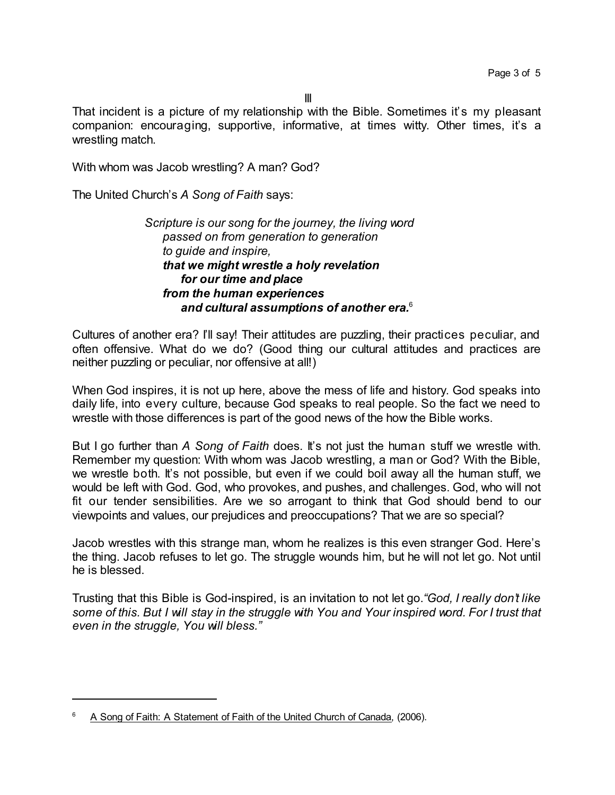That incident is a picture of my relationship with the Bible. Sometimes it's my pleasant companion: encouraging, supportive, informative, at times witty. Other times, it's a wrestling match.

With whom was Jacob wrestling? A man? God?

The United Church's *A Song of Faith* says:

*Scripture is our song for the journey, the living word passed on from generation to generation to guide and inspire, that we might wrestle a holy revelation for our time and place from the human experiences and cultural assumptions of another era.*<sup>6</sup>

Cultures of another era? I'll say! Their attitudes are puzzling, their practices peculiar, and often offensive. What do we do? (Good thing our cultural attitudes and practices are neither puzzling or peculiar, nor offensive at all!)

When God inspires, it is not up here, above the mess of life and history. God speaks into daily life, into every culture, because God speaks to real people. So the fact we need to wrestle with those differences is part of the good news of the how the Bible works.

But I go further than *A Song of Faith* does. It's not just the human stuff we wrestle with. Remember my question: With whom was Jacob wrestling, a man or God? With the Bible, we wrestle both. It's not possible, but even if we could boil away all the human stuff, we would be left with God. God, who provokes, and pushes, and challenges. God, who will not fit our tender sensibilities. Are we so arrogant to think that God should bend to our viewpoints and values, our prejudices and preoccupations? That we are so special?

Jacob wrestles with this strange man, whom he realizes is this even stranger God. Here's the thing. Jacob refuses to let go. The struggle wounds him, but he will not let go. Not until he is blessed.

Trusting that this Bible is God-inspired, is an invitation to not let go.*"God, I really don't like some of this. But I will stay in the struggle with You and Your inspired word. For I trust that even in the struggle, You will bless."*

 $6$  A Song of Faith: A Statement of Faith of the United Church of Canada, (2006).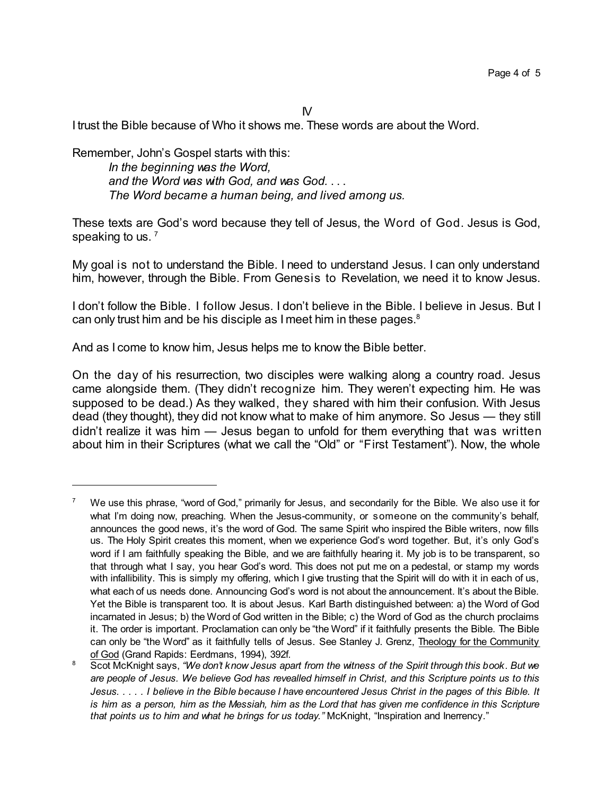$N$ 

I trust the Bible because of Who it shows me. These words are about the Word.

Remember, John's Gospel starts with this: *In the beginning was the Word, and the Word was with God, and was God.* . . . *The Word became a human being, and lived among us.*

These texts are God's word because they tell of Jesus, the Word of God. Jesus is God, speaking to us.<sup>7</sup>

My goal is not to understand the Bible. I need to understand Jesus. I can only understand him, however, through the Bible. From Genesis to Revelation, we need it to know Jesus.

I don't follow the Bible. I follow Jesus. I don't believe in the Bible. I believe in Jesus. But I can only trust him and be his disciple as I meet him in these pages.<sup>8</sup>

And as I come to know him, Jesus helps me to know the Bible better.

On the day of his resurrection, two disciples were walking along a country road. Jesus came alongside them. (They didn't recognize him. They weren't expecting him. He was supposed to be dead.) As they walked, they shared with him their confusion. With Jesus dead (they thought), they did not know what to make of him anymore. So Jesus — they still didn't realize it was him — Jesus began to unfold for them everything that was written about him in their Scriptures (what we call the "Old" or "First Testament"). Now, the whole

We use this phrase, "word of God," primarily for Jesus, and secondarily for the Bible. We also use it for what I'm doing now, preaching. When the Jesus-community, or someone on the community's behalf, announces the good news, it's the word of God. The same Spirit who inspired the Bible writers, now fills us. The Holy Spirit creates this moment, when we experience God's word together. But, it's only God's word if I am faithfully speaking the Bible, and we are faithfully hearing it. My job is to be transparent, so that through what I say, you hear God's word. This does not put me on a pedestal, or stamp my words with infallibility. This is simply my offering, which I give trusting that the Spirit will do with it in each of us, what each of us needs done. Announcing God's word is not about the announcement. It's about the Bible. Yet the Bible is transparent too. It is about Jesus. Karl Barth distinguished between: a) the Word of God incarnated in Jesus; b) the Word of God written in the Bible; c) the Word of God as the church proclaims it. The order is important. Proclamation can only be "the Word" if it faithfully presents the Bible. The Bible can only be "the Word" as it faithfully tells of Jesus. See Stanley J. Grenz, Theology for the Community of God (Grand Rapids: Eerdmans, 1994), 392f.

<sup>8</sup> Scot McKnight says, *"We don't know Jesus apart from the witness of the Spirit through this book. But we* are people of Jesus. We believe God has revealled himself in Christ, and this Scripture points us to this Jesus. . . . . I believe in the Bible because I have encountered Jesus Christ in the pages of this Bible. It is him as a person, him as the Messiah, him as the Lord that has given me confidence in this Scripture *that points us to him and what he brings for us today."* McKnight, "Inspiration and Inerrency."